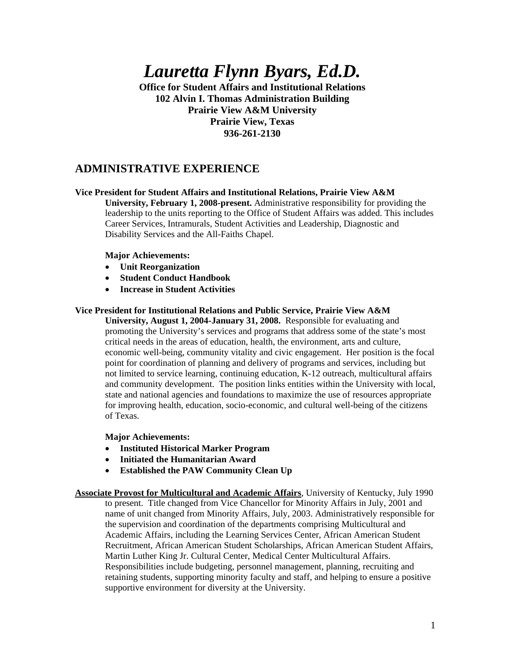*Lauretta Flynn Byars, Ed.D.* 

**Office for Student Affairs and Institutional Relations 102 Alvin I. Thomas Administration Building Prairie View A&M University Prairie View, Texas 936-261-2130** 

# **ADMINISTRATIVE EXPERIENCE**

### **Vice President for Student Affairs and Institutional Relations, Prairie View A&M**

**University, February 1, 2008-present.** Administrative responsibility for providing the leadership to the units reporting to the Office of Student Affairs was added. This includes Career Services, Intramurals, Student Activities and Leadership, Diagnostic and Disability Services and the All-Faiths Chapel.

#### **Major Achievements:**

- **Unit Reorganization**
- **Student Conduct Handbook**
- **Increase in Student Activities**

#### **Vice President for Institutional Relations and Public Service, Prairie View A&M**

**University, August 1, 2004-January 31, 2008.** Responsible for evaluating and promoting the University's services and programs that address some of the state's most critical needs in the areas of education, health, the environment, arts and culture, economic well-being, community vitality and civic engagement. Her position is the focal point for coordination of planning and delivery of programs and services, including but not limited to service learning, continuing education, K-12 outreach, multicultural affairs and community development. The position links entities within the University with local, state and national agencies and foundations to maximize the use of resources appropriate for improving health, education, socio-economic, and cultural well-being of the citizens of Texas.

### **Major Achievements:**

- **Instituted Historical Marker Program**
- **Initiated the Humanitarian Award**
- **Established the PAW Community Clean Up**

**Associate Provost for Multicultural and Academic Affairs**, University of Kentucky, July 1990 to present. Title changed from Vice Chancellor for Minority Affairs in July, 2001 and name of unit changed from Minority Affairs, July, 2003. Administratively responsible for the supervision and coordination of the departments comprising Multicultural and Academic Affairs, including the Learning Services Center, African American Student Recruitment, African American Student Scholarships, African American Student Affairs, Martin Luther King Jr. Cultural Center, Medical Center Multicultural Affairs. Responsibilities include budgeting, personnel management, planning, recruiting and retaining students, supporting minority faculty and staff, and helping to ensure a positive supportive environment for diversity at the University.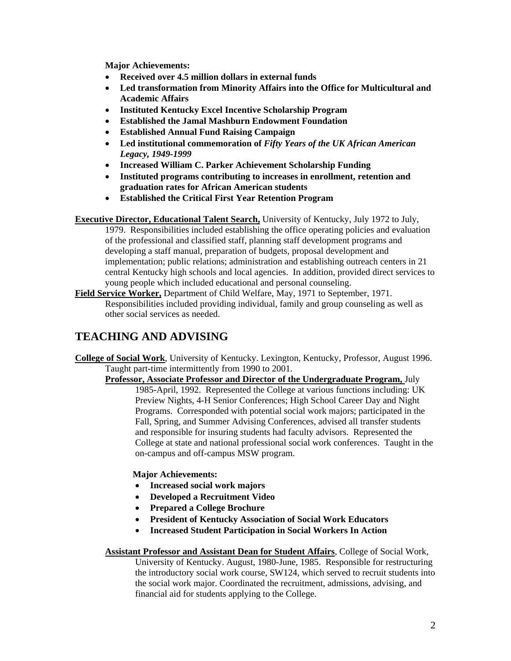**Major Achievements:** 

- **Received over 4.5 million dollars in external funds**
- **Led transformation from Minority Affairs into the Office for Multicultural and Academic Affairs**
- **Instituted Kentucky Excel Incentive Scholarship Program**
- **Established the Jamal Mashburn Endowment Foundation**
- **Established Annual Fund Raising Campaign**
- **Led institutional commemoration of** *Fifty Years of the UK African American Legacy, 1949-1999*
- **Increased William C. Parker Achievement Scholarship Funding**
- **Instituted programs contributing to increases in enrollment, retention and graduation rates for African American students**
- **Established the Critical First Year Retention Program**

**Executive Director, Educational Talent Search,** University of Kentucky, July 1972 to July, 1979. Responsibilities included establishing the office operating policies and evaluation of the professional and classified staff, planning staff development programs and developing a staff manual, preparation of budgets, proposal development and implementation; public relations; administration and establishing outreach centers in 21 central Kentucky high schools and local agencies. In addition, provided direct services to young people which included educational and personal counseling.

**Field Service Worker,** Department of Child Welfare, May, 1971 to September, 1971. Responsibilities included providing individual, family and group counseling as well as other social services as needed.

# **TEACHING AND ADVISING**

**College of Social Work**, University of Kentucky. Lexington, Kentucky, Professor, August 1996. Taught part-time intermittently from 1990 to 2001.

**Professor, Associate Professor and Director of the Undergraduate Program,** July

1985-April, 1992. Represented the College at various functions including: UK Preview Nights, 4-H Senior Conferences; High School Career Day and Night Programs. Corresponded with potential social work majors; participated in the Fall, Spring, and Summer Advising Conferences, advised all transfer students and responsible for insuring students had faculty advisors. Represented the College at state and national professional social work conferences. Taught in the on-campus and off-campus MSW program.

### **Major Achievements:**

- **Increased social work majors**
- **Developed a Recruitment Video**
- **Prepared a College Brochure**
- **President of Kentucky Association of Social Work Educators**
- **Increased Student Participation in Social Workers In Action**

### **Assistant Professor and Assistant Dean for Student Affairs**, College of Social Work,

University of Kentucky. August, 1980-June, 1985. Responsible for restructuring the introductory social work course, SW124, which served to recruit students into the social work major. Coordinated the recruitment, admissions, advising, and financial aid for students applying to the College.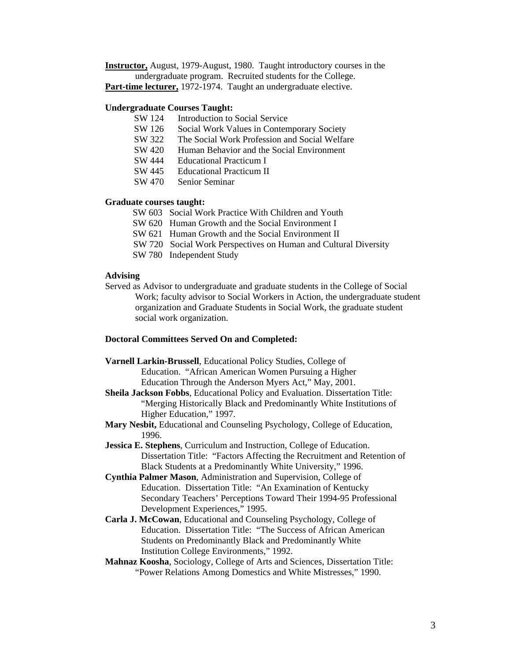**Instructor,** August, 1979-August, 1980. Taught introductory courses in the undergraduate program. Recruited students for the College. **Part-time lecturer,** 1972-1974. Taught an undergraduate elective.

#### **Undergraduate Courses Taught:**

- SW 124 Introduction to Social Service
- SW 126 Social Work Values in Contemporary Society
- SW 322 The Social Work Profession and Social Welfare
- SW 420 Human Behavior and the Social Environment
- SW 444 Educational Practicum I
- SW 445 Educational Practicum II
- SW 470 Senior Seminar

### **Graduate courses taught:**

- SW 603 Social Work Practice With Children and Youth
- SW 620 Human Growth and the Social Environment I
- SW 621 Human Growth and the Social Environment II
- SW 720 Social Work Perspectives on Human and Cultural Diversity
- SW 780 Independent Study

### **Advising**

Served as Advisor to undergraduate and graduate students in the College of Social Work; faculty advisor to Social Workers in Action, the undergraduate student organization and Graduate Students in Social Work, the graduate student social work organization.

#### **Doctoral Committees Served On and Completed:**

**Varnell Larkin-Brussell**, Educational Policy Studies, College of Education. "African American Women Pursuing a Higher Education Through the Anderson Myers Act," May, 2001. **Sheila Jackson Fobbs**, Educational Policy and Evaluation. Dissertation Title: "Merging Historically Black and Predominantly White Institutions of Higher Education," 1997. **Mary Nesbit,** Educational and Counseling Psychology, College of Education, 1996. **Jessica E. Stephens**, Curriculum and Instruction, College of Education. Dissertation Title: "Factors Affecting the Recruitment and Retention of Black Students at a Predominantly White University," 1996. **Cynthia Palmer Mason**, Administration and Supervision, College of Education. Dissertation Title: "An Examination of Kentucky Secondary Teachers' Perceptions Toward Their 1994-95 Professional Development Experiences," 1995. **Carla J. McCowan**, Educational and Counseling Psychology, College of Education. Dissertation Title: "The Success of African American Students on Predominantly Black and Predominantly White Institution College Environments," 1992. **Mahnaz Koosha**, Sociology, College of Arts and Sciences, Dissertation Title: "Power Relations Among Domestics and White Mistresses," 1990.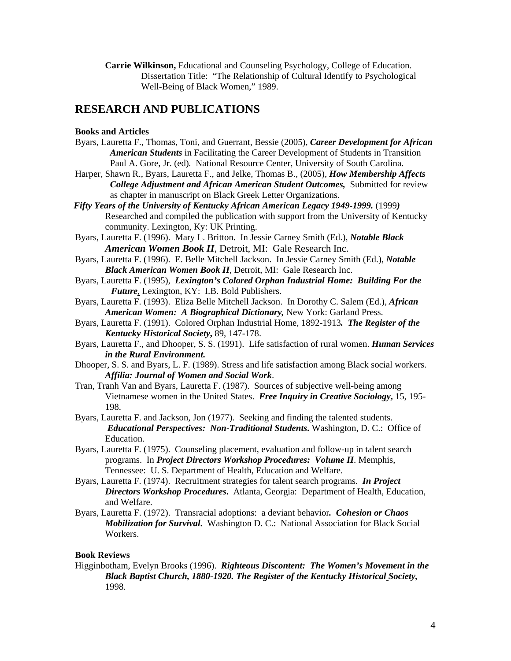**Carrie Wilkinson,** Educational and Counseling Psychology, College of Education. Dissertation Title: "The Relationship of Cultural Identify to Psychological Well-Being of Black Women," 1989.

## **RESEARCH AND PUBLICATIONS**

### **Books and Articles**

- Byars, Lauretta F., Thomas, Toni, and Guerrant, Bessie (2005), *Career Development for African American Students* in Facilitating the Career Development of Students in Transition Paul A. Gore, Jr. (ed)*.* National Resource Center, University of South Carolina.
- Harper, Shawn R., Byars, Lauretta F., and Jelke, Thomas B., (2005), *How Membership Affects College Adjustment and African American Student Outcomes,* Submitted for review as chapter in manuscript on Black Greek Letter Organizations.
- *Fifty Years of the University of Kentucky African American Legacy 1949-1999.* (1999*)*  Researched and compiled the publication with support from the University of Kentucky community. Lexington, Ky: UK Printing.
- Byars, Lauretta F. (1996). Mary L. Britton. In Jessie Carney Smith (Ed.), *Notable Black American Women Book II*, Detroit, MI: Gale Research Inc.
- Byars, Lauretta F. (1996). E. Belle Mitchell Jackson. In Jessie Carney Smith (Ed.), *Notable Black American Women Book II*, Detroit, MI: Gale Research Inc.
- Byars, Lauretta F. (1995), *Lexington's Colored Orphan Industrial Home: Building For the Future*, Lexington, KY: I.B. Bold Publishers.

Byars, Lauretta F. (1993). Eliza Belle Mitchell Jackson. In Dorothy C. Salem (Ed.), *African American Women: A Biographical Dictionary,* New York: Garland Press.

- Byars, Lauretta F. (1991). Colored Orphan Industrial Home, 1892-1913*. The Register of the Kentucky Historical Society***,** 89, 147-178.
- Byars, Lauretta F., and Dhooper, S. S. (1991). Life satisfaction of rural women. *Human Services in the Rural Environment.*
- Dhooper, S. S. and Byars, L. F. (1989). Stress and life satisfaction among Black social workers. *Affilia: Journal of Women and Social Work*.
- Tran, Tranh Van and Byars, Lauretta F. (1987). Sources of subjective well-being among Vietnamese women in the United States. *Free Inquiry in Creative Sociology***,** 15, 195- 198.
- Byars, Lauretta F. and Jackson, Jon (1977). Seeking and finding the talented students. *Educational Perspectives: Non-Traditional Students***.** Washington, D. C.: Office of Education.
- Byars, Lauretta F. (1975). Counseling placement, evaluation and follow-up in talent search programs. In *Project Directors Workshop Procedures: Volume II*. Memphis, Tennessee: U. S. Department of Health, Education and Welfare.
- Byars, Lauretta F. (1974). Recruitment strategies for talent search programs*. In Project Directors Workshop Procedures***.** Atlanta, Georgia: Department of Health, Education, and Welfare.
- Byars, Lauretta F. (1972). Transracial adoptions: a deviant behavior*. Cohesion or Chaos Mobilization for Survival***.** Washington D. C.: National Association for Black Social Workers.

### **Book Reviews**

Higginbotham, Evelyn Brooks (1996).*Righteous Discontent: The Women's Movement in the Black Baptist Church, 1880-1920. The Register of the Kentucky Historical Society,* 1998.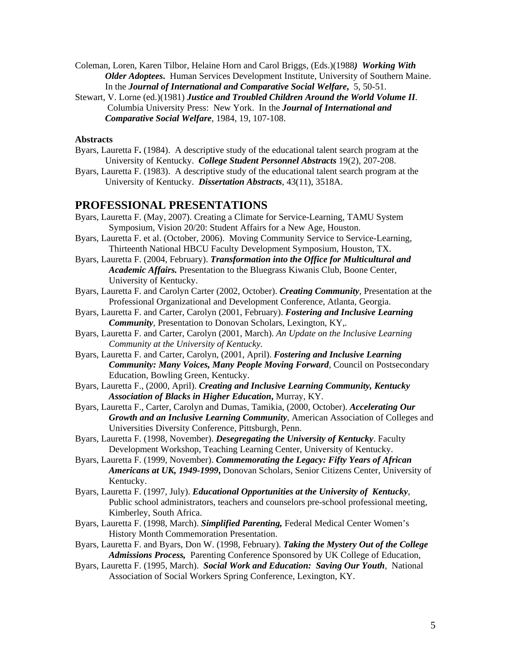- Coleman, Loren, Karen Tilbor, Helaine Horn and Carol Briggs, (Eds.)(1988*) Working With Older Adoptees***.** Human Services Development Institute, University of Southern Maine. In the *Journal of International and Comparative Social Welfare***,** 5, 50-51.
- Stewart, V. Lorne (ed.)(1981) *Justice and Troubled Children Around the World Volume II.*  Columbia University Press: New York. In the *Journal of International and Comparative Social Welfare*, 1984, 19, 107-108.

#### **Abstracts**

- Byars, Lauretta F**.** (1984). A descriptive study of the educational talent search program at the University of Kentucky. *College Student Personnel Abstracts* 19(2), 207-208.
- Byars, Lauretta F. (1983). A descriptive study of the educational talent search program at the University of Kentucky. *Dissertation Abstracts*, 43(11), 3518A.

### **PROFESSIONAL PRESENTATIONS**

- Byars, Lauretta F. (May, 2007). Creating a Climate for Service-Learning, TAMU System Symposium, Vision 20/20: Student Affairs for a New Age, Houston.
- Byars, Lauretta F. et al. (October, 2006). Moving Community Service to Service-Learning, Thirteenth National HBCU Faculty Development Symposium, Houston, TX.
- Byars, Lauretta F. (2004, February). *Transformation into the Office for Multicultural and Academic Affairs.* Presentation to the Bluegrass Kiwanis Club, Boone Center, University of Kentucky.
- Byars, Lauretta F. and Carolyn Carter (2002, October). *Creating Community*, Presentation at the Professional Organizational and Development Conference, Atlanta, Georgia.
- Byars, Lauretta F. and Carter, Carolyn (2001, February). *Fostering and Inclusive Learning Community*, Presentation to Donovan Scholars, Lexington, KY<sub>*.*</sub>.
- Byars, Lauretta F. and Carter, Carolyn (2001, March). *An Update on the Inclusive Learning Community at the University of Kentucky.*
- Byars, Lauretta F. and Carter, Carolyn, (2001, April). *Fostering and Inclusive Learning Community: Many Voices, Many People Moving Forward,* Council on Postsecondary Education, Bowling Green, Kentucky.
- Byars, Lauretta F., (2000, April). *Creating and Inclusive Learning Community, Kentucky Association of Blacks in Higher Education***,** Murray, KY.
- Byars, Lauretta F., Carter, Carolyn and Dumas, Tamikia, (2000, October). *Accelerating Our Growth and an Inclusive Learning Community*, American Association of Colleges and Universities Diversity Conference, Pittsburgh, Penn.
- Byars, Lauretta F. (1998, November). *Desegregating the University of Kentucky*. Faculty Development Workshop, Teaching Learning Center, University of Kentucky.
- Byars, Lauretta F. (1999, November). *Commemorating the Legacy: Fifty Years of African Americans at UK, 1949-1999***,** Donovan Scholars, Senior Citizens Center, University of Kentucky.
- Byars, Lauretta F. (1997, July). *Educational Opportunities at the University of Kentucky*, Public school administrators, teachers and counselors pre-school professional meeting, Kimberley, South Africa.
- Byars, Lauretta F. (1998, March). *Simplified Parenting,* Federal Medical Center Women's History Month Commemoration Presentation.
- Byars, Lauretta F. and Byars, Don W. (1998, February). *Taking the Mystery Out of the College Admissions Process,* Parenting Conference Sponsored by UK College of Education,
- Byars, Lauretta F. (1995, March). *Social Work and Education: Saving Our Youth*, National Association of Social Workers Spring Conference, Lexington, KY.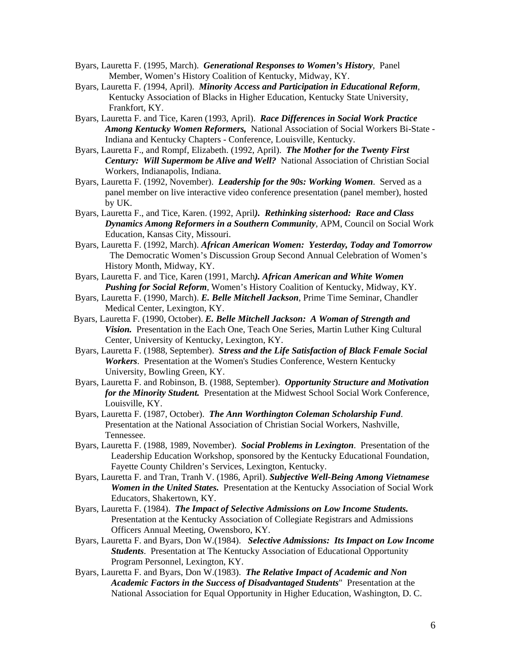- Byars, Lauretta F. (1995, March). *Generational Responses to Women's History*, Panel Member, Women's History Coalition of Kentucky, Midway, KY.
- Byars, Lauretta F*. (*1994, April). *Minority Access and Participation in Educational Reform*, Kentucky Association of Blacks in Higher Education, Kentucky State University, Frankfort, KY.
- Byars, Lauretta F. and Tice, Karen (1993, April). *Race Differences in Social Work Practice Among Kentucky Women Reformers,* National Association of Social Workers Bi-State - Indiana and Kentucky Chapters - Conference, Louisville, Kentucky.
- Byars, Lauretta F., and Rompf, Elizabeth. (1992, April). *The Mother for the Twenty First Century: Will Supermom be Alive and Well?* National Association of Christian Social Workers, Indianapolis, Indiana.
- Byars, Lauretta F. (1992, November). *Leadership for the 90s: Working Women*. Served as a panel member on live interactive video conference presentation (panel member), hosted by UK.
- Byars, Lauretta F., and Tice, Karen. (1992, April*). Rethinking sisterhood: Race and Class Dynamics Among Reformers in a Southern Community*, APM, Council on Social Work Education, Kansas City, Missouri.
- Byars, Lauretta F. (1992, March). *African American Women: Yesterday, Today and Tomorrow*  The Democratic Women's Discussion Group Second Annual Celebration of Women's History Month, Midway, KY.
- Byars, Lauretta F. and Tice, Karen (1991, March*). African American and White Women Pushing for Social Reform*, Women's History Coalition of Kentucky, Midway, KY.
- Byars, Lauretta F. (1990, March). *E. Belle Mitchell Jackson*, Prime Time Seminar, Chandler Medical Center, Lexington, KY.
- Byars, Lauretta F. (1990, October). *E. Belle Mitchell Jackson: A Woman of Strength and Vision.* Presentation in the Each One, Teach One Series, Martin Luther King Cultural Center, University of Kentucky, Lexington, KY.
- Byars, Lauretta F. (1988, September). *Stress and the Life Satisfaction of Black Female Social Workers*. Presentation at the Women's Studies Conference, Western Kentucky University, Bowling Green, KY.
- Byars, Lauretta F. and Robinson, B. (1988, September). *Opportunity Structure and Motivation for the Minority Student.* Presentation at the Midwest School Social Work Conference, Louisville, KY.
- Byars, Lauretta F. (1987, October). *The Ann Worthington Coleman Scholarship Fund*. Presentation at the National Association of Christian Social Workers, Nashville, Tennessee.
- Byars, Lauretta F. (1988, 1989, November). *Social Problems in Lexington*. Presentation of the Leadership Education Workshop, sponsored by the Kentucky Educational Foundation, Fayette County Children's Services, Lexington, Kentucky.
- Byars, Lauretta F. and Tran, Tranh V. (1986, April). *Subjective Well-Being Among Vietnamese Women in the United States.* Presentation at the Kentucky Association of Social Work Educators, Shakertown, KY.
- Byars, Lauretta F. (1984). *The Impact of Selective Admissions on Low Income Students.* Presentation at the Kentucky Association of Collegiate Registrars and Admissions Officers Annual Meeting, Owensboro, KY.
- Byars, Lauretta F. and Byars, Don W.(1984). *Selective Admissions: Its Impact on Low Income Students*. Presentation at The Kentucky Association of Educational Opportunity Program Personnel, Lexington, KY.
- Byars, Lauretta F. and Byars, Don W.(1983). *The Relative Impact of Academic and Non Academic Factors in the Success of Disadvantaged Students*" Presentation at the National Association for Equal Opportunity in Higher Education, Washington, D. C.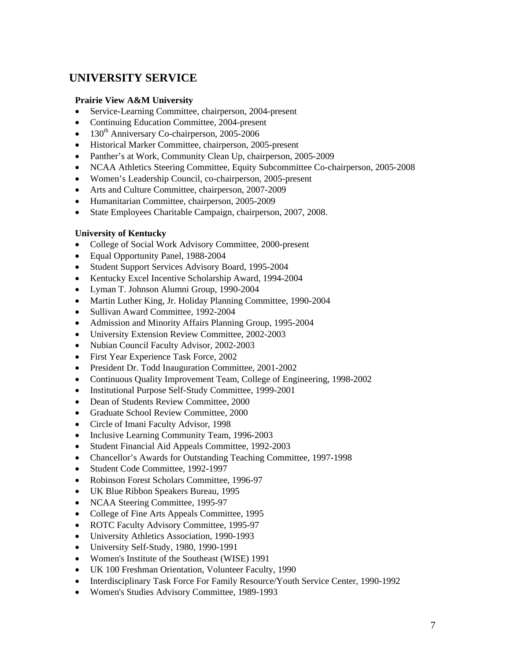# **UNIVERSITY SERVICE**

### **Prairie View A&M University**

- Service-Learning Committee, chairperson, 2004-present
- Continuing Education Committee, 2004-present
- 130<sup>th</sup> Anniversary Co-chairperson, 2005-2006
- Historical Marker Committee, chairperson, 2005-present
- Panther's at Work, Community Clean Up, chairperson, 2005-2009
- NCAA Athletics Steering Committee, Equity Subcommittee Co-chairperson, 2005-2008
- Women's Leadership Council, co-chairperson, 2005-present
- Arts and Culture Committee, chairperson, 2007-2009
- Humanitarian Committee, chairperson, 2005-2009
- State Employees Charitable Campaign, chairperson, 2007, 2008.

### **University of Kentucky**

- College of Social Work Advisory Committee, 2000-present
- Equal Opportunity Panel, 1988-2004
- Student Support Services Advisory Board, 1995-2004
- Kentucky Excel Incentive Scholarship Award, 1994-2004
- Lyman T. Johnson Alumni Group, 1990-2004
- Martin Luther King, Jr. Holiday Planning Committee, 1990-2004
- Sullivan Award Committee, 1992-2004
- Admission and Minority Affairs Planning Group, 1995-2004
- University Extension Review Committee, 2002-2003
- Nubian Council Faculty Advisor, 2002-2003
- First Year Experience Task Force, 2002
- President Dr. Todd Inauguration Committee, 2001-2002
- Continuous Quality Improvement Team, College of Engineering, 1998-2002
- Institutional Purpose Self-Study Committee, 1999-2001
- Dean of Students Review Committee, 2000
- Graduate School Review Committee, 2000
- Circle of Imani Faculty Advisor, 1998
- Inclusive Learning Community Team, 1996-2003
- Student Financial Aid Appeals Committee, 1992-2003
- Chancellor's Awards for Outstanding Teaching Committee, 1997-1998
- Student Code Committee, 1992-1997
- Robinson Forest Scholars Committee, 1996-97
- UK Blue Ribbon Speakers Bureau, 1995
- NCAA Steering Committee, 1995-97
- College of Fine Arts Appeals Committee, 1995
- ROTC Faculty Advisory Committee, 1995-97
- University Athletics Association, 1990-1993
- University Self-Study, 1980, 1990-1991
- Women's Institute of the Southeast (WISE) 1991
- UK 100 Freshman Orientation, Volunteer Faculty, 1990
- Interdisciplinary Task Force For Family Resource/Youth Service Center, 1990-1992
- Women's Studies Advisory Committee, 1989-1993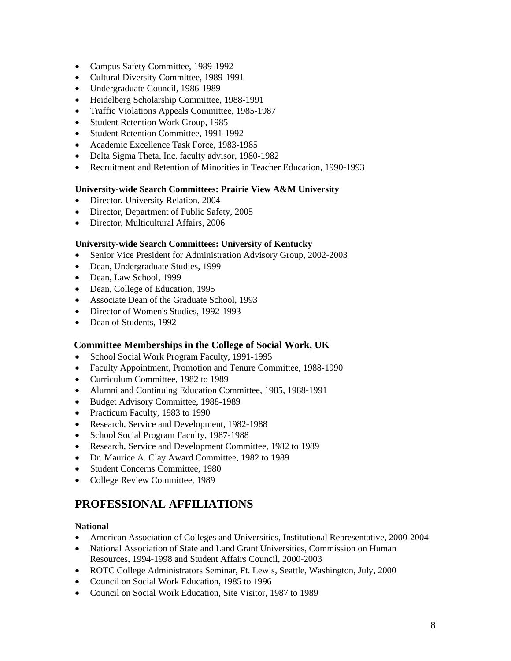- Campus Safety Committee, 1989-1992
- Cultural Diversity Committee, 1989-1991
- Undergraduate Council, 1986-1989
- Heidelberg Scholarship Committee, 1988-1991
- Traffic Violations Appeals Committee, 1985-1987
- Student Retention Work Group, 1985
- Student Retention Committee, 1991-1992
- Academic Excellence Task Force, 1983-1985
- Delta Sigma Theta, Inc. faculty advisor, 1980-1982
- Recruitment and Retention of Minorities in Teacher Education, 1990-1993

### **University-wide Search Committees: Prairie View A&M University**

- Director, University Relation, 2004
- Director, Department of Public Safety, 2005
- Director, Multicultural Affairs, 2006

### **University-wide Search Committees: University of Kentucky**

- Senior Vice President for Administration Advisory Group, 2002-2003
- Dean, Undergraduate Studies, 1999
- Dean, Law School, 1999
- Dean, College of Education, 1995
- Associate Dean of the Graduate School, 1993
- Director of Women's Studies, 1992-1993
- Dean of Students, 1992

### **Committee Memberships in the College of Social Work, UK**

- School Social Work Program Faculty, 1991-1995
- Faculty Appointment, Promotion and Tenure Committee, 1988-1990
- Curriculum Committee, 1982 to 1989
- Alumni and Continuing Education Committee, 1985, 1988-1991
- Budget Advisory Committee, 1988-1989
- Practicum Faculty, 1983 to 1990
- Research, Service and Development, 1982-1988
- School Social Program Faculty, 1987-1988
- Research, Service and Development Committee, 1982 to 1989
- Dr. Maurice A. Clay Award Committee, 1982 to 1989
- Student Concerns Committee, 1980
- College Review Committee, 1989

# **PROFESSIONAL AFFILIATIONS**

### **National**

- American Association of Colleges and Universities, Institutional Representative, 2000-2004
- National Association of State and Land Grant Universities, Commission on Human Resources, 1994-1998 and Student Affairs Council, 2000-2003
- ROTC College Administrators Seminar, Ft. Lewis, Seattle, Washington, July, 2000
- Council on Social Work Education, 1985 to 1996
- Council on Social Work Education, Site Visitor, 1987 to 1989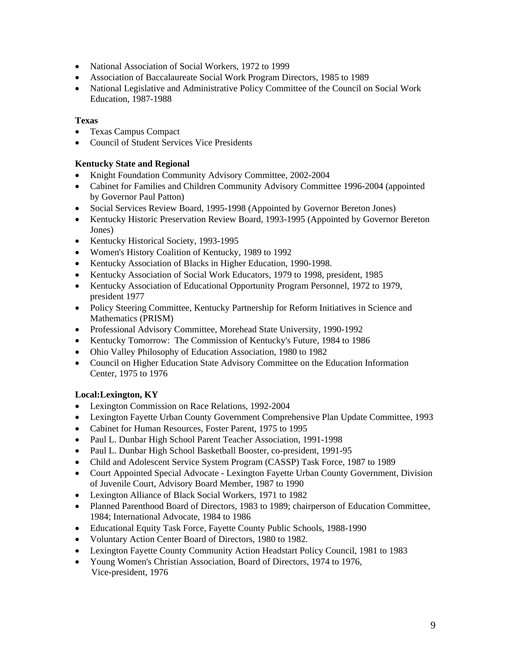- National Association of Social Workers, 1972 to 1999
- Association of Baccalaureate Social Work Program Directors, 1985 to 1989
- National Legislative and Administrative Policy Committee of the Council on Social Work Education, 1987-1988

### **Texas**

- Texas Campus Compact
- Council of Student Services Vice Presidents

### **Kentucky State and Regional**

- Knight Foundation Community Advisory Committee, 2002-2004
- Cabinet for Families and Children Community Advisory Committee 1996-2004 (appointed by Governor Paul Patton)
- Social Services Review Board, 1995-1998 (Appointed by Governor Bereton Jones)
- Kentucky Historic Preservation Review Board, 1993-1995 (Appointed by Governor Bereton Jones)
- Kentucky Historical Society, 1993-1995
- Women's History Coalition of Kentucky, 1989 to 1992
- Kentucky Association of Blacks in Higher Education, 1990-1998.
- Kentucky Association of Social Work Educators, 1979 to 1998, president, 1985
- Kentucky Association of Educational Opportunity Program Personnel, 1972 to 1979, president 1977
- Policy Steering Committee, Kentucky Partnership for Reform Initiatives in Science and Mathematics (PRISM)
- Professional Advisory Committee, Morehead State University, 1990-1992
- Kentucky Tomorrow: The Commission of Kentucky's Future, 1984 to 1986
- Ohio Valley Philosophy of Education Association, 1980 to 1982
- Council on Higher Education State Advisory Committee on the Education Information Center, 1975 to 1976

## **Local:Lexington, KY**

- Lexington Commission on Race Relations, 1992-2004
- Lexington Fayette Urban County Government Comprehensive Plan Update Committee, 1993
- Cabinet for Human Resources, Foster Parent, 1975 to 1995
- Paul L. Dunbar High School Parent Teacher Association, 1991-1998
- Paul L. Dunbar High School Basketball Booster, co-president, 1991-95
- Child and Adolescent Service System Program (CASSP) Task Force, 1987 to 1989
- Court Appointed Special Advocate Lexington Fayette Urban County Government, Division of Juvenile Court, Advisory Board Member, 1987 to 1990
- Lexington Alliance of Black Social Workers, 1971 to 1982
- Planned Parenthood Board of Directors, 1983 to 1989; chairperson of Education Committee, 1984; International Advocate, 1984 to 1986
- Educational Equity Task Force, Fayette County Public Schools, 1988-1990
- Voluntary Action Center Board of Directors, 1980 to 1982.
- Lexington Fayette County Community Action Headstart Policy Council, 1981 to 1983
- Young Women's Christian Association, Board of Directors, 1974 to 1976, Vice-president, 1976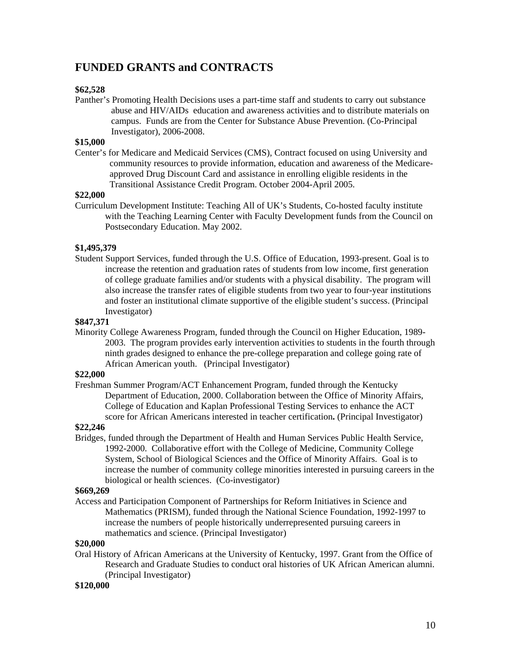# **FUNDED GRANTS and CONTRACTS**

### **\$62,528**

Panther's Promoting Health Decisions uses a part-time staff and students to carry out substance abuse and HIV/AIDs education and awareness activities and to distribute materials on campus. Funds are from the Center for Substance Abuse Prevention. (Co-Principal Investigator), 2006-2008.

### **\$15,000**

Center's for Medicare and Medicaid Services (CMS), Contract focused on using University and community resources to provide information, education and awareness of the Medicareapproved Drug Discount Card and assistance in enrolling eligible residents in the Transitional Assistance Credit Program. October 2004-April 2005.

### **\$22,000**

Curriculum Development Institute: Teaching All of UK's Students, Co-hosted faculty institute with the Teaching Learning Center with Faculty Development funds from the Council on Postsecondary Education. May 2002.

### **\$1,495,379**

Student Support Services, funded through the U.S. Office of Education, 1993-present. Goal is to increase the retention and graduation rates of students from low income, first generation of college graduate families and/or students with a physical disability. The program will also increase the transfer rates of eligible students from two year to four-year institutions and foster an institutional climate supportive of the eligible student's success. (Principal Investigator)

### **\$847,371**

Minority College Awareness Program, funded through the Council on Higher Education, 1989- 2003. The program provides early intervention activities to students in the fourth through ninth grades designed to enhance the pre-college preparation and college going rate of African American youth. (Principal Investigator)

### **\$22,000**

Freshman Summer Program/ACT Enhancement Program, funded through the Kentucky Department of Education, 2000. Collaboration between the Office of Minority Affairs, College of Education and Kaplan Professional Testing Services to enhance the ACT score for African Americans interested in teacher certification**.** (Principal Investigator)

### **\$22,246**

Bridges, funded through the Department of Health and Human Services Public Health Service, 1992-2000. Collaborative effort with the College of Medicine, Community College System, School of Biological Sciences and the Office of Minority Affairs. Goal is to increase the number of community college minorities interested in pursuing careers in the biological or health sciences. (Co-investigator)

### **\$669,269**

Access and Participation Component of Partnerships for Reform Initiatives in Science and Mathematics (PRISM), funded through the National Science Foundation, 1992-1997 to increase the numbers of people historically underrepresented pursuing careers in mathematics and science. (Principal Investigator)

### **\$20,000**

Oral History of African Americans at the University of Kentucky, 1997. Grant from the Office of Research and Graduate Studies to conduct oral histories of UK African American alumni. (Principal Investigator)

### **\$120,000**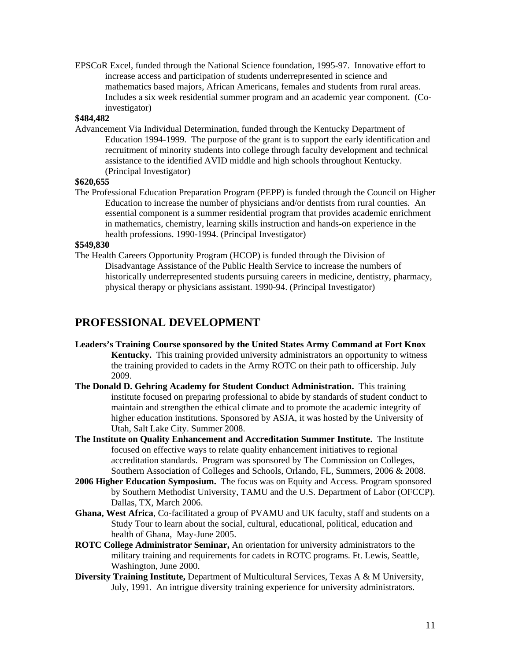EPSCoR Excel, funded through the National Science foundation, 1995-97. Innovative effort to increase access and participation of students underrepresented in science and mathematics based majors, African Americans, females and students from rural areas. Includes a six week residential summer program and an academic year component. (Coinvestigator)

### **\$484,482**

Advancement Via Individual Determination, funded through the Kentucky Department of Education 1994-1999. The purpose of the grant is to support the early identification and recruitment of minority students into college through faculty development and technical assistance to the identified AVID middle and high schools throughout Kentucky. (Principal Investigator)

### **\$620,655**

The Professional Education Preparation Program (PEPP) is funded through the Council on Higher Education to increase the number of physicians and/or dentists from rural counties. An essential component is a summer residential program that provides academic enrichment in mathematics, chemistry, learning skills instruction and hands-on experience in the health professions. 1990-1994. (Principal Investigator)

### **\$549,830**

The Health Careers Opportunity Program (HCOP) is funded through the Division of Disadvantage Assistance of the Public Health Service to increase the numbers of historically underrepresented students pursuing careers in medicine, dentistry, pharmacy, physical therapy or physicians assistant. 1990-94. (Principal Investigator)

## **PROFESSIONAL DEVELOPMENT**

- **Leaders's Training Course sponsored by the United States Army Command at Fort Knox Kentucky.** This training provided university administrators an opportunity to witness the training provided to cadets in the Army ROTC on their path to officership. July 2009.
- **The Donald D. Gehring Academy for Student Conduct Administration.** This training institute focused on preparing professional to abide by standards of student conduct to maintain and strengthen the ethical climate and to promote the academic integrity of higher education institutions. Sponsored by ASJA, it was hosted by the University of Utah, Salt Lake City. Summer 2008.
- **The Institute on Quality Enhancement and Accreditation Summer Institute.** The Institute focused on effective ways to relate quality enhancement initiatives to regional accreditation standards. Program was sponsored by The Commission on Colleges, Southern Association of Colleges and Schools, Orlando, FL, Summers, 2006 & 2008.
- **2006 Higher Education Symposium.** The focus was on Equity and Access. Program sponsored by Southern Methodist University, TAMU and the U.S. Department of Labor (OFCCP). Dallas, TX, March 2006.
- **Ghana, West Africa**, Co-facilitated a group of PVAMU and UK faculty, staff and students on a Study Tour to learn about the social, cultural, educational, political, education and health of Ghana, May-June 2005.
- **ROTC College Administrator Seminar,** An orientation for university administrators to the military training and requirements for cadets in ROTC programs. Ft. Lewis, Seattle, Washington, June 2000.
- **Diversity Training Institute,** Department of Multicultural Services, Texas A & M University, July, 1991. An intrigue diversity training experience for university administrators.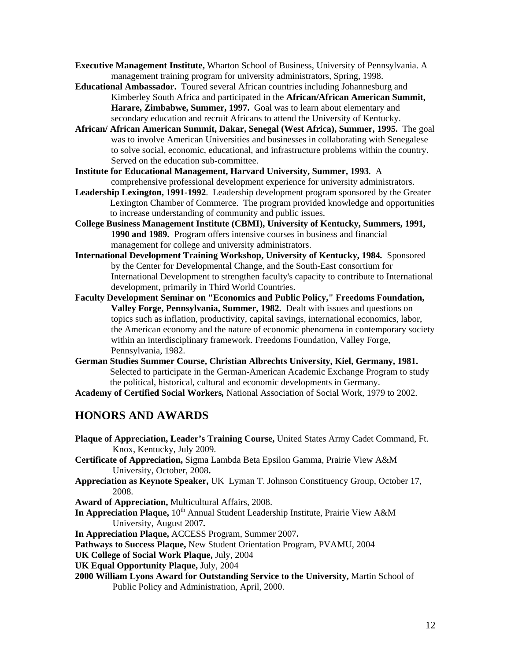**Executive Management Institute,** Wharton School of Business, University of Pennsylvania. A management training program for university administrators, Spring, 1998.

- **Educational Ambassador.** Toured several African countries including Johannesburg and Kimberley South Africa and participated in the **African/African American Summit, Harare, Zimbabwe, Summer, 1997.** Goal was to learn about elementary and secondary education and recruit Africans to attend the University of Kentucky.
- **African/ African American Summit, Dakar, Senegal (West Africa), Summer, 1995.**The goal was to involve American Universities and businesses in collaborating with Senegalese to solve social, economic, educational, and infrastructure problems within the country. Served on the education sub-committee.
- **Institute for Educational Management, Harvard University, Summer, 1993***.* A comprehensive professional development experience for university administrators.
- **Leadership Lexington, 1991-1992**. Leadership development program sponsored by the Greater Lexington Chamber of Commerce. The program provided knowledge and opportunities to increase understanding of community and public issues.
- **College Business Management Institute (CBMI), University of Kentucky, Summers, 1991, 1990 and 1989.** Program offers intensive courses in business and financial management for college and university administrators.
- **International Development Training Workshop, University of Kentucky, 1984***.* Sponsored by the Center for Developmental Change, and the South-East consortium for International Development to strengthen faculty's capacity to contribute to International development, primarily in Third World Countries.
- **Faculty Development Seminar on "Economics and Public Policy," Freedoms Foundation, Valley Forge, Pennsylvania, Summer, 1982.** Dealt with issues and questions on topics such as inflation, productivity, capital savings, international economics, labor, the American economy and the nature of economic phenomena in contemporary society within an interdisciplinary framework. Freedoms Foundation, Valley Forge, Pennsylvania, 1982.
- **German Studies Summer Course, Christian Albrechts University, Kiel, Germany, 1981.** Selected to participate in the German-American Academic Exchange Program to study the political, historical, cultural and economic developments in Germany.

**Academy of Certified Social Workers***,* National Association of Social Work, 1979 to 2002.

## **HONORS AND AWARDS**

**Plaque of Appreciation, Leader's Training Course,** United States Army Cadet Command, Ft. Knox, Kentucky, July 2009. **Certificate of Appreciation,** Sigma Lambda Beta Epsilon Gamma, Prairie View A&M University, October, 2008**. Appreciation as Keynote Speaker,** UK Lyman T. Johnson Constituency Group, October 17, 2008. **Award of Appreciation,** Multicultural Affairs, 2008. **In Appreciation Plaque,**  $10^{th}$  Annual Student Leadership Institute, Prairie View A&M University, August 2007**. In Appreciation Plaque,** ACCESS Program, Summer 2007**. Pathways to Success Plaque,** New Student Orientation Program, PVAMU, 2004 **UK College of Social Work Plaque,** July, 2004 **UK Equal Opportunity Plaque,** July, 2004 **2000 William Lyons Award for Outstanding Service to the University,** Martin School of Public Policy and Administration, April, 2000.